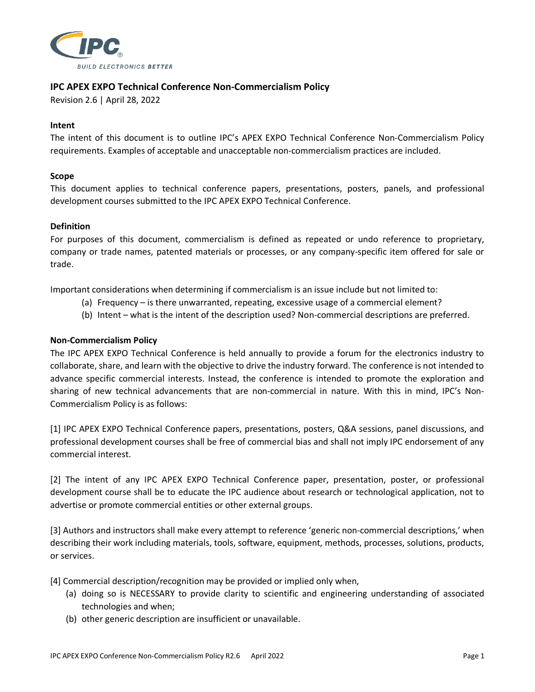

# **IPC APEX EXPO Technical Conference Non-Commercialism Policy**

Revision 2.6 | April 28, 2022

#### **Intent**

The intent of this document is to outline IPC's APEX EXPO Technical Conference Non-Commercialism Policy requirements. Examples of acceptable and unacceptable non-commercialism practices are included.

#### **Scope**

This document applies to technical conference papers, presentations, posters, panels, and professional development courses submitted to the IPC APEX EXPO Technical Conference.

#### **Definition**

For purposes of this document, commercialism is defined as repeated or undo reference to proprietary, company or trade names, patented materials or processes, or any company-specific item offered for sale or trade.

Important considerations when determining if commercialism is an issue include but not limited to:

- (a) Frequency is there unwarranted, repeating, excessive usage of a commercial element?
- (b) Intent what is the intent of the description used? Non-commercial descriptions are preferred.

## **Non-Commercialism Policy**

The IPC APEX EXPO Technical Conference is held annually to provide a forum for the electronics industry to collaborate, share, and learn with the objective to drive the industry forward. The conference is not intended to advance specific commercial interests. Instead, the conference is intended to promote the exploration and sharing of new technical advancements that are non-commercial in nature. With this in mind, IPC's Non-Commercialism Policy is as follows:

[1] IPC APEX EXPO Technical Conference papers, presentations, posters, Q&A sessions, panel discussions, and professional development courses shall be free of commercial bias and shall not imply IPC endorsement of any commercial interest.

[2] The intent of any IPC APEX EXPO Technical Conference paper, presentation, poster, or professional development course shall be to educate the IPC audience about research or technological application, not to advertise or promote commercial entities or other external groups.

[3] Authors and instructors shall make every attempt to reference 'generic non-commercial descriptions,' when describing their work including materials, tools, software, equipment, methods, processes, solutions, products, or services.

[4] Commercial description/recognition may be provided or implied only when,

- (a) doing so is NECESSARY to provide clarity to scientific and engineering understanding of associated technologies and when;
- (b) other generic description are insufficient or unavailable.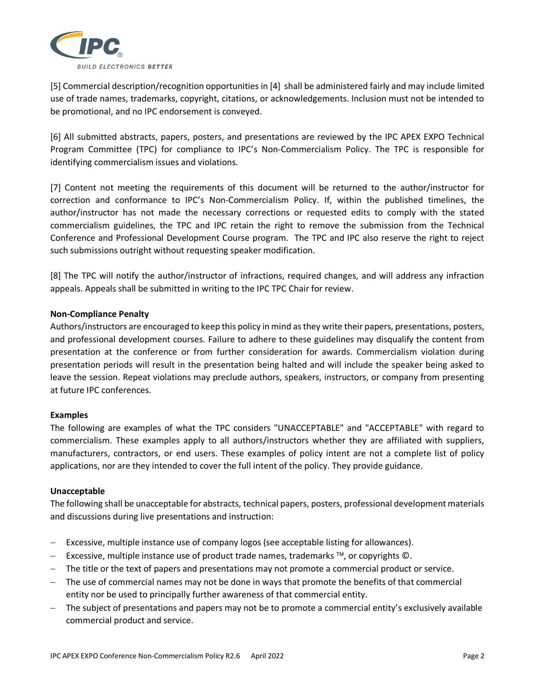

[5] Commercial description/recognition opportunities in [4] shall be administered fairly and may include limited use of trade names, trademarks, copyright, citations, or acknowledgements. Inclusion must not be intended to be promotional, and no IPC endorsement is conveyed.

[6] All submitted abstracts, papers, posters, and presentations are reviewed by the IPC APEX EXPO Technical Program Committee (TPC) for compliance to IPC's Non-Commercialism Policy. The TPC is responsible for identifying commercialism issues and violations.

[7] Content not meeting the requirements of this document will be returned to the author/instructor for correction and conformance to IPC's Non-Commercialism Policy. If, within the published timelines, the author/instructor has not made the necessary corrections or requested edits to comply with the stated commercialism guidelines, the TPC and IPC retain the right to remove the submission from the Technical Conference and Professional Development Course program. The TPC and IPC also reserve the right to reject such submissions outright without requesting speaker modification.

[8] The TPC will notify the author/instructor of infractions, required changes, and will address any infraction appeals. Appeals shall be submitted in writing to the IPC TPC Chair for review.

## **Non-Compliance Penalty**

Authors/instructors are encouraged to keep this policy in mind as they write their papers, presentations, posters, and professional development courses. Failure to adhere to these guidelines may disqualify the content from presentation at the conference or from further consideration for awards. Commercialism violation during presentation periods will result in the presentation being halted and will include the speaker being asked to leave the session. Repeat violations may preclude authors, speakers, instructors, or company from presenting at future IPC conferences.

## **Examples**

The following are examples of what the TPC considers "UNACCEPTABLE" and "ACCEPTABLE" with regard to commercialism. These examples apply to all authors/instructors whether they are affiliated with suppliers, manufacturers, contractors, or end users. These examples of policy intent are not a complete list of policy applications, nor are they intended to cover the full intent of the policy. They provide guidance.

## **Unacceptable**

The following shall be unacceptable for abstracts, technical papers, posters, professional development materials and discussions during live presentations and instruction:

- − Excessive, multiple instance use of company logos (see acceptable listing for allowances).
- − Excessive, multiple instance use of product trade names, trademarks ™, or copyrights ©.
- − The title or the text of papers and presentations may not promote a commercial product or service.
- − The use of commercial names may not be done in ways that promote the benefits of that commercial entity nor be used to principally further awareness of that commercial entity.
- − The subject of presentations and papers may not be to promote a commercial entity's exclusively available commercial product and service.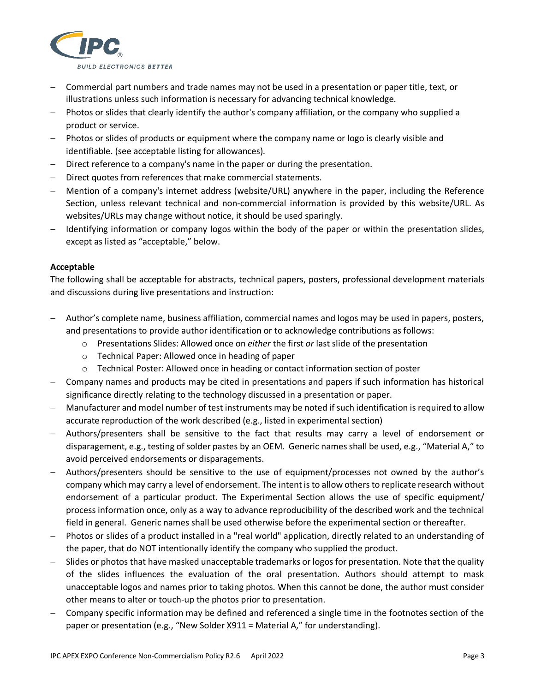

- − Commercial part numbers and trade names may not be used in a presentation or paper title, text, or illustrations unless such information is necessary for advancing technical knowledge.
- − Photos or slides that clearly identify the author's company affiliation, or the company who supplied a product or service.
- − Photos or slides of products or equipment where the company name or logo is clearly visible and identifiable. (see acceptable listing for allowances).
- − Direct reference to a company's name in the paper or during the presentation.
- − Direct quotes from references that make commercial statements.
- − Mention of a company's internet address (website/URL) anywhere in the paper, including the Reference Section, unless relevant technical and non-commercial information is provided by this website/URL. As websites/URLs may change without notice, it should be used sparingly.
- − Identifying information or company logos within the body of the paper or within the presentation slides, except as listed as "acceptable," below.

## **Acceptable**

The following shall be acceptable for abstracts, technical papers, posters, professional development materials and discussions during live presentations and instruction:

- − Author's complete name, business affiliation, commercial names and logos may be used in papers, posters, and presentations to provide author identification or to acknowledge contributions as follows:
	- o Presentations Slides: Allowed once on *either* the first *or* last slide of the presentation
	- o Technical Paper: Allowed once in heading of paper
	- $\circ$  Technical Poster: Allowed once in heading or contact information section of poster
- − Company names and products may be cited in presentations and papers if such information has historical significance directly relating to the technology discussed in a presentation or paper.
- − Manufacturer and model number of test instruments may be noted if such identification is required to allow accurate reproduction of the work described (e.g., listed in experimental section)
- − Authors/presenters shall be sensitive to the fact that results may carry a level of endorsement or disparagement, e.g., testing of solder pastes by an OEM. Generic names shall be used, e.g., "Material A," to avoid perceived endorsements or disparagements.
- − Authors/presenters should be sensitive to the use of equipment/processes not owned by the author's company which may carry a level of endorsement. The intent is to allow others to replicate research without endorsement of a particular product. The Experimental Section allows the use of specific equipment/ process information once, only as a way to advance reproducibility of the described work and the technical field in general. Generic names shall be used otherwise before the experimental section or thereafter.
- − Photos or slides of a product installed in a "real world" application, directly related to an understanding of the paper, that do NOT intentionally identify the company who supplied the product.
- − Slides or photos that have masked unacceptable trademarks or logos for presentation. Note that the quality of the slides influences the evaluation of the oral presentation. Authors should attempt to mask unacceptable logos and names prior to taking photos. When this cannot be done, the author must consider other means to alter or touch-up the photos prior to presentation.
- − Company specific information may be defined and referenced a single time in the footnotes section of the paper or presentation (e.g., "New Solder X911 = Material A," for understanding).